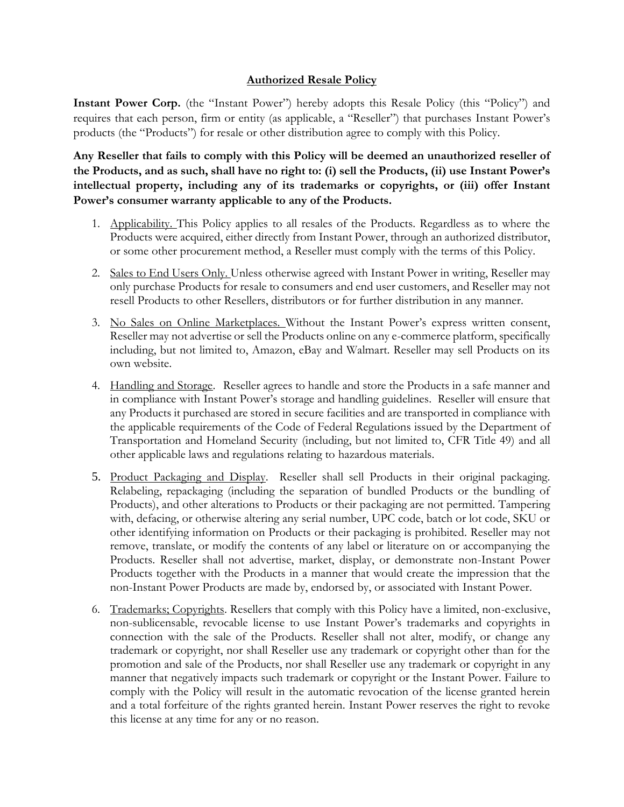## **Authorized Resale Policy**

**Instant Power Corp.** (the "Instant Power") hereby adopts this Resale Policy (this "Policy") and requires that each person, firm or entity (as applicable, a "Reseller") that purchases Instant Power's products (the "Products") for resale or other distribution agree to comply with this Policy.

**Any Reseller that fails to comply with this Policy will be deemed an unauthorized reseller of the Products, and as such, shall have no right to: (i) sell the Products, (ii) use Instant Power's intellectual property, including any of its trademarks or copyrights, or (iii) offer Instant Power's consumer warranty applicable to any of the Products.** 

- 1. Applicability. This Policy applies to all resales of the Products. Regardless as to where the Products were acquired, either directly from Instant Power, through an authorized distributor, or some other procurement method, a Reseller must comply with the terms of this Policy.
- 2. Sales to End Users Only. Unless otherwise agreed with Instant Power in writing, Reseller may only purchase Products for resale to consumers and end user customers, and Reseller may not resell Products to other Resellers, distributors or for further distribution in any manner.
- 3. No Sales on Online Marketplaces. Without the Instant Power's express written consent, Reseller may not advertise or sell the Products online on any e-commerce platform, specifically including, but not limited to, Amazon, eBay and Walmart. Reseller may sell Products on its own website.
- 4. Handling and Storage. Reseller agrees to handle and store the Products in a safe manner and in compliance with Instant Power's storage and handling guidelines. Reseller will ensure that any Products it purchased are stored in secure facilities and are transported in compliance with the applicable requirements of the Code of Federal Regulations issued by the Department of Transportation and Homeland Security (including, but not limited to, CFR Title 49) and all other applicable laws and regulations relating to hazardous materials.
- 5. Product Packaging and Display. Reseller shall sell Products in their original packaging. Relabeling, repackaging (including the separation of bundled Products or the bundling of Products), and other alterations to Products or their packaging are not permitted. Tampering with, defacing, or otherwise altering any serial number, UPC code, batch or lot code, SKU or other identifying information on Products or their packaging is prohibited. Reseller may not remove, translate, or modify the contents of any label or literature on or accompanying the Products. Reseller shall not advertise, market, display, or demonstrate non-Instant Power Products together with the Products in a manner that would create the impression that the non-Instant Power Products are made by, endorsed by, or associated with Instant Power.
- 6. Trademarks; Copyrights. Resellers that comply with this Policy have a limited, non-exclusive, non-sublicensable, revocable license to use Instant Power's trademarks and copyrights in connection with the sale of the Products. Reseller shall not alter, modify, or change any trademark or copyright, nor shall Reseller use any trademark or copyright other than for the promotion and sale of the Products, nor shall Reseller use any trademark or copyright in any manner that negatively impacts such trademark or copyright or the Instant Power. Failure to comply with the Policy will result in the automatic revocation of the license granted herein and a total forfeiture of the rights granted herein. Instant Power reserves the right to revoke this license at any time for any or no reason.